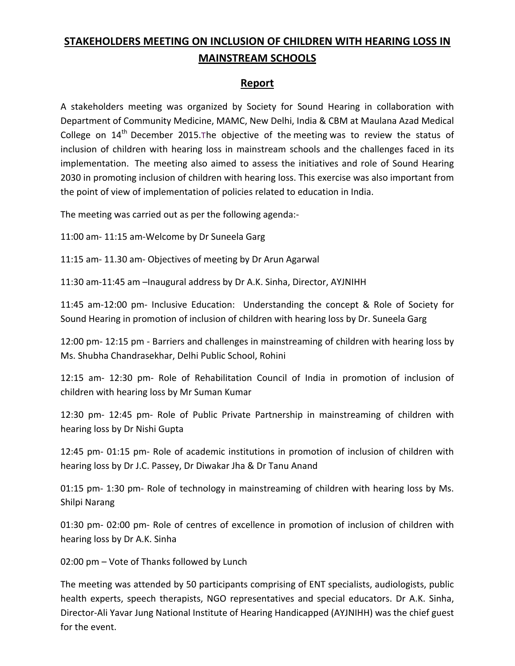## **STAKEHOLDERS MEETING ON INCLUSION OF CHILDREN WITH HEARING LOSS IN MAINSTREAM SCHOOLS**

## **Report**

A stakeholders meeting was organized by Society for Sound Hearing in collaboration with Department of Community Medicine, MAMC, New Delhi, India & CBM at Maulana Azad Medical College on 14<sup>th</sup> December 2015. The objective of the meeting was to review the status of inclusion of children with hearing loss in mainstream schools and the challenges faced in its implementation. The meeting also aimed to assess the initiatives and role of Sound Hearing 2030 in promoting inclusion of children with hearing loss. This exercise was also important from the point of view of implementation of policies related to education in India.

The meeting was carried out as per the following agenda:-

11:00 am- 11:15 am-Welcome by Dr Suneela Garg

11:15 am- 11.30 am- Objectives of meeting by Dr Arun Agarwal

11:30 am-11:45 am –Inaugural address by Dr A.K. Sinha, Director, AYJNIHH

11:45 am-12:00 pm- Inclusive Education: Understanding the concept & Role of Society for Sound Hearing in promotion of inclusion of children with hearing loss by Dr. Suneela Garg

12:00 pm- 12:15 pm - Barriers and challenges in mainstreaming of children with hearing loss by Ms. Shubha Chandrasekhar, Delhi Public School, Rohini

12:15 am- 12:30 pm- Role of Rehabilitation Council of India in promotion of inclusion of children with hearing loss by Mr Suman Kumar

12:30 pm- 12:45 pm- Role of Public Private Partnership in mainstreaming of children with hearing loss by Dr Nishi Gupta

12:45 pm- 01:15 pm- Role of academic institutions in promotion of inclusion of children with hearing loss by Dr J.C. Passey, Dr Diwakar Jha & Dr Tanu Anand

01:15 pm- 1:30 pm- Role of technology in mainstreaming of children with hearing loss by Ms. Shilpi Narang

01:30 pm- 02:00 pm- Role of centres of excellence in promotion of inclusion of children with hearing loss by Dr A.K. Sinha

02:00 pm – Vote of Thanks followed by Lunch

The meeting was attended by 50 participants comprising of ENT specialists, audiologists, public health experts, speech therapists, NGO representatives and special educators. Dr A.K. Sinha, Director-Ali Yavar Jung National Institute of Hearing Handicapped (AYJNIHH) was the chief guest for the event.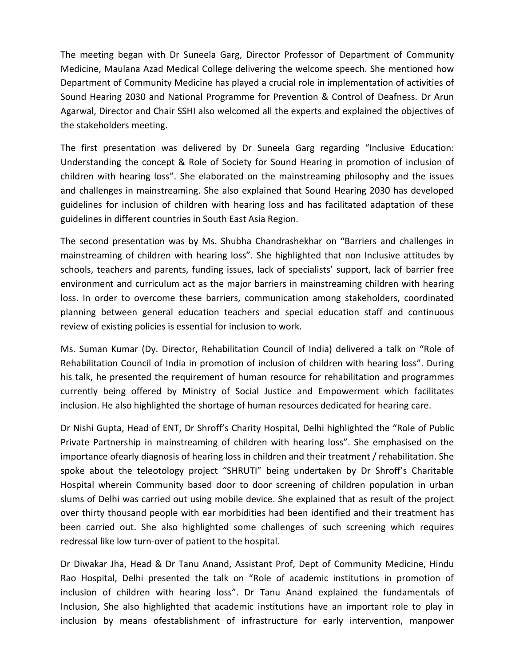The meeting began with Dr Suneela Garg, Director Professor of Department of Community Medicine, Maulana Azad Medical College delivering the welcome speech. She mentioned how Department of Community Medicine has played a crucial role in implementation of activities of Sound Hearing 2030 and National Programme for Prevention & Control of Deafness. Dr Arun Agarwal, Director and Chair SSHI also welcomed all the experts and explained the objectives of the stakeholders meeting.

The first presentation was delivered by Dr Suneela Garg regarding "Inclusive Education: Understanding the concept & Role of Society for Sound Hearing in promotion of inclusion of children with hearing loss". She elaborated on the mainstreaming philosophy and the issues and challenges in mainstreaming. She also explained that Sound Hearing 2030 has developed guidelines for inclusion of children with hearing loss and has facilitated adaptation of these guidelines in different countries in South East Asia Region.

The second presentation was by Ms. Shubha Chandrashekhar on "Barriers and challenges in mainstreaming of children with hearing loss". She highlighted that non Inclusive attitudes by schools, teachers and parents, funding issues, lack of specialists' support, lack of barrier free environment and curriculum act as the major barriers in mainstreaming children with hearing loss. In order to overcome these barriers, communication among stakeholders, coordinated planning between general education teachers and special education staff and continuous review of existing policies is essential for inclusion to work.

Ms. Suman Kumar (Dy. Director, Rehabilitation Council of India) delivered a talk on "Role of Rehabilitation Council of India in promotion of inclusion of children with hearing loss". During his talk, he presented the requirement of human resource for rehabilitation and programmes currently being offered by Ministry of Social Justice and Empowerment which facilitates inclusion. He also highlighted the shortage of human resources dedicated for hearing care.

Dr Nishi Gupta, Head of ENT, Dr Shroff's Charity Hospital, Delhi highlighted the "Role of Public Private Partnership in mainstreaming of children with hearing loss". She emphasised on the importance ofearly diagnosis of hearing loss in children and their treatment / rehabilitation. She spoke about the teleotology project "SHRUTI" being undertaken by Dr Shroff's Charitable Hospital wherein Community based door to door screening of children population in urban slums of Delhi was carried out using mobile device. She explained that as result of the project over thirty thousand people with ear morbidities had been identified and their treatment has been carried out. She also highlighted some challenges of such screening which requires redressal like low turn-over of patient to the hospital.

Dr Diwakar Jha, Head & Dr Tanu Anand, Assistant Prof, Dept of Community Medicine, Hindu Rao Hospital, Delhi presented the talk on "Role of academic institutions in promotion of inclusion of children with hearing loss". Dr Tanu Anand explained the fundamentals of Inclusion, She also highlighted that academic institutions have an important role to play in inclusion by means ofestablishment of infrastructure for early intervention, manpower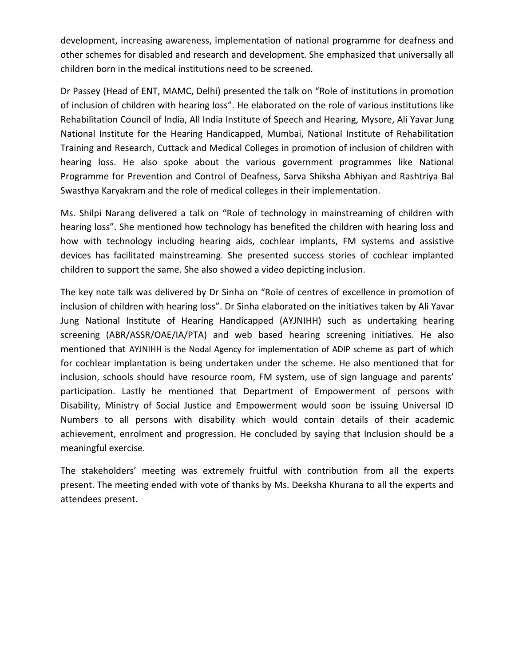development, increasing awareness, implementation of national programme for deafness and other schemes for disabled and research and development. She emphasized that universally all children born in the medical institutions need to be screened.

Dr Passey (Head of ENT, MAMC, Delhi) presented the talk on "Role of institutions in promotion of inclusion of children with hearing loss". He elaborated on the role of various institutions like Rehabilitation Council of India, All India Institute of Speech and Hearing, Mysore, Ali Yavar Jung National Institute for the Hearing Handicapped, Mumbai, National Institute of Rehabilitation Training and Research, Cuttack and Medical Colleges in promotion of inclusion of children with hearing loss. He also spoke about the various government programmes like National Programme for Prevention and Control of Deafness, Sarva Shiksha Abhiyan and Rashtriya Bal Swasthya Karyakram and the role of medical colleges in their implementation.

Ms. Shilpi Narang delivered a talk on "Role of technology in mainstreaming of children with hearing loss". She mentioned how technology has benefited the children with hearing loss and how with technology including hearing aids, cochlear implants, FM systems and assistive devices has facilitated mainstreaming. She presented success stories of cochlear implanted children to support the same. She also showed a video depicting inclusion.

The key note talk was delivered by Dr Sinha on "Role of centres of excellence in promotion of inclusion of children with hearing loss". Dr Sinha elaborated on the initiatives taken by Ali Yavar Jung National Institute of Hearing Handicapped (AYJNIHH) such as undertaking hearing screening (ABR/ASSR/OAE/IA/PTA) and web based hearing screening initiatives. He also mentioned that AYJNIHH is the Nodal Agency for implementation of ADIP scheme as part of which for cochlear implantation is being undertaken under the scheme. He also mentioned that for inclusion, schools should have resource room, FM system, use of sign language and parents' participation. Lastly he mentioned that Department of Empowerment of persons with Disability, Ministry of Social Justice and Empowerment would soon be issuing Universal ID Numbers to all persons with disability which would contain details of their academic achievement, enrolment and progression. He concluded by saying that Inclusion should be a meaningful exercise.

The stakeholders' meeting was extremely fruitful with contribution from all the experts present. The meeting ended with vote of thanks by Ms. Deeksha Khurana to all the experts and attendees present.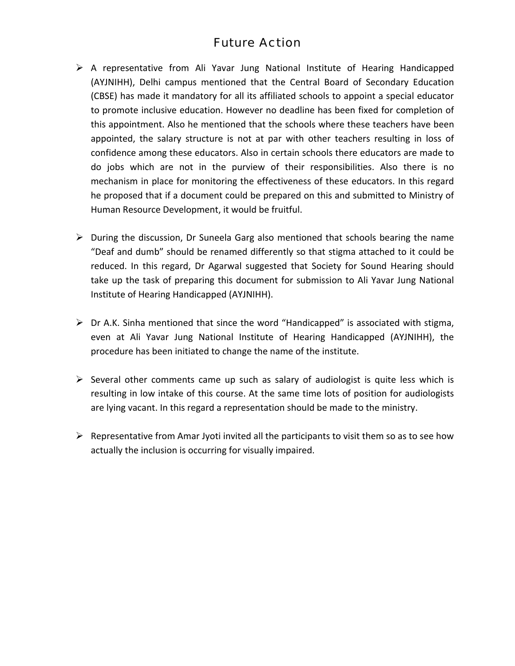## Future Action

- $\triangleright$  A representative from Ali Yavar Jung National Institute of Hearing Handicapped (AYJNIHH), Delhi campus mentioned that the Central Board of Secondary Education (CBSE) has made it mandatory for all its affiliated schools to appoint a special educator to promote inclusive education. However no deadline has been fixed for completion of this appointment. Also he mentioned that the schools where these teachers have been appointed, the salary structure is not at par with other teachers resulting in loss of confidence among these educators. Also in certain schools there educators are made to do jobs which are not in the purview of their responsibilities. Also there is no mechanism in place for monitoring the effectiveness of these educators. In this regard he proposed that if a document could be prepared on this and submitted to Ministry of Human Resource Development, it would be fruitful.
- ¾ During the discussion, Dr Suneela Garg also mentioned that schools bearing the name "Deaf and dumb" should be renamed differently so that stigma attached to it could be reduced. In this regard, Dr Agarwal suggested that Society for Sound Hearing should take up the task of preparing this document for submission to Ali Yavar Jung National Institute of Hearing Handicapped (AYJNIHH).
- $\triangleright$  Dr A.K. Sinha mentioned that since the word "Handicapped" is associated with stigma, even at Ali Yavar Jung National Institute of Hearing Handicapped (AYJNIHH), the procedure has been initiated to change the name of the institute.
- $\triangleright$  Several other comments came up such as salary of audiologist is quite less which is resulting in low intake of this course. At the same time lots of position for audiologists are lying vacant. In this regard a representation should be made to the ministry.
- $\triangleright$  Representative from Amar Jyoti invited all the participants to visit them so as to see how actually the inclusion is occurring for visually impaired.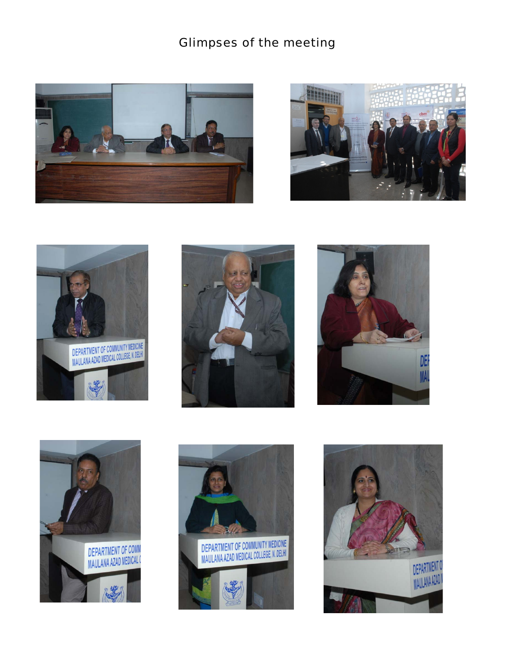## Glimpses of the meeting